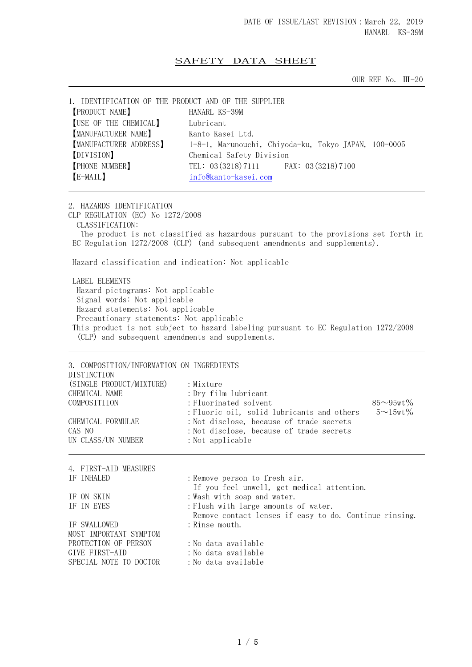## SAFETY DATA SHEET

OUR REF No. Ⅲ-20

| 1. IDENTIFICATION OF THE PRODUCT AND OF THE SUPPLIER |                                                      |
|------------------------------------------------------|------------------------------------------------------|
| <b>PRODUCT NAME</b>                                  | HANARL KS-39M                                        |
| <b>[USE OF THE CHEMICAL]</b>                         | Lubricant                                            |
| [MANUFACTURER NAME]                                  | Kanto Kasei Ltd.                                     |
| MANUFACTURER ADDRESS]                                | 1-8-1, Marunouchi, Chiyoda-ku, Tokyo JAPAN, 100-0005 |
| [DIVISION]                                           | Chemical Safety Division                             |
| <b>PHONE NUMBER</b>                                  | TEL: 03 (3218) 7111 FAX: 03 (3218) 7100              |
| [E-MAIL]                                             | info@kanto-kasei.com                                 |
|                                                      |                                                      |

2. HAZARDS IDENTIFICATION CLP REGULATION (EC) No 1272/2008 CLASSIFICATION: The product is not classified as hazardous pursuant to the provisions set forth in EC Regulation 1272/2008 (CLP) (and subsequent amendments and supplements). Hazard classification and indication: Not applicable

 LABEL ELEMENTS Hazard pictograms: Not applicable Signal words: Not applicable Hazard statements: Not applicable Precautionary statements: Not applicable This product is not subject to hazard labeling pursuant to EC Regulation 1272/2008 (CLP) and subsequent amendments and supplements.

3. COMPOSITION/INFORMATION ON INGREDIENTS DISTINCTION (SINGLE PRODUCT/MIXTURE) : Mixture CHEMICAL NAME : Dry film lubricant COMPOSITIION : Fluorinated solvent 85~95wt% : Fluoric oil, solid lubricants and others  $5 \sim 15$ wt% CHEMICAL FORMULAE :Not disclose, because of trade secrets CAS NO :Not disclose, because of trade secrets UN CLASS/UN NUMBER : Not applicable 4. FIRST-AID MEASURES IF INHALED : Remove person to fresh air. If you feel unwell, get medical attention.

IF ON SKIN : Wash with soap and water.<br>IF IN EYES : Flush with large amounts : Flush with large amounts of water. Remove contact lenses if easy to do. Continue rinsing. IF SWALLOWED : Rinse mouth. MOST IMPORTANT SYMPTOM PROTECTION OF PERSON : No data available GIVE FIRST-AID : No data available SPECIAL NOTE TO DOCTOR : No data available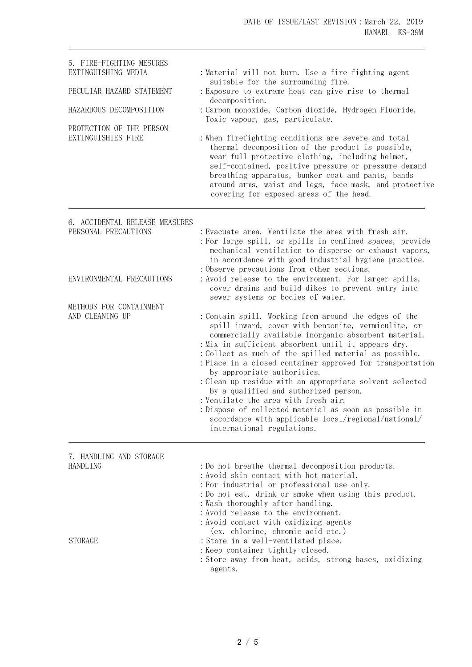| 5. FIRE-FIGHTING MESURES<br>EXTINGUISHING MEDIA<br>PECULIAR HAZARD STATEMENT<br>HAZARDOUS DECOMPOSITION<br>PROTECTION OF THE PERSON<br>EXTINGUISHIES FIRE | : Material will not burn. Use a fire fighting agent<br>suitable for the surrounding fire.<br>: Exposure to extreme heat can give rise to thermal<br>decomposition.<br>: Carbon monoxide, Carbon dioxide, Hydrogen Fluoride,<br>Toxic vapour, gas, particulate.<br>: When firefighting conditions are severe and total<br>thermal decomposition of the product is possible,<br>wear full protective clothing, including helmet,<br>self-contained, positive pressure or pressure demand<br>breathing apparatus, bunker coat and pants, bands<br>around arms, waist and legs, face mask, and protective<br>covering for exposed areas of the head.                             |
|-----------------------------------------------------------------------------------------------------------------------------------------------------------|------------------------------------------------------------------------------------------------------------------------------------------------------------------------------------------------------------------------------------------------------------------------------------------------------------------------------------------------------------------------------------------------------------------------------------------------------------------------------------------------------------------------------------------------------------------------------------------------------------------------------------------------------------------------------|
| 6. ACCIDENTAL RELEASE MEASURES<br>PERSONAL PRECAUTIONS<br>ENVIRONMENTAL PRECAUTIONS<br>METHODS FOR CONTAINMENT                                            | : Evacuate area. Ventilate the area with fresh air.<br>: For large spill, or spills in confined spaces, provide<br>mechanical ventilation to disperse or exhaust vapors,<br>in accordance with good industrial hygiene practice.<br>: Observe precautions from other sections.<br>: Avoid release to the environment. For larger spills,<br>cover drains and build dikes to prevent entry into<br>sewer systems or bodies of water.                                                                                                                                                                                                                                          |
| AND CLEANING UP                                                                                                                                           | : Contain spill. Working from around the edges of the<br>spill inward, cover with bentonite, vermiculite, or<br>commercially available inorganic absorbent material.<br>: Mix in sufficient absorbent until it appears dry.<br>: Collect as much of the spilled material as possible.<br>: Place in a closed container approved for transportation<br>by appropriate authorities.<br>: Clean up residue with an appropriate solvent selected<br>by a qualified and authorized person.<br>: Ventilate the area with fresh air.<br>: Dispose of collected material as soon as possible in<br>accordance with applicable local/regional/national/<br>international regulations. |
| 7. HANDLING AND STORAGE<br><b>HANDLING</b>                                                                                                                | : Do not breathe thermal decomposition products.<br>:Avoid skin contact with hot material.<br>: For industrial or professional use only.<br>: Do not eat, drink or smoke when using this product.<br>: Wash thoroughly after handling.<br>: Avoid release to the environment.<br>: Avoid contact with oxidizing agents                                                                                                                                                                                                                                                                                                                                                       |
| <b>STORAGE</b>                                                                                                                                            | (ex. chlorine, chromic acid etc.)<br>: Store in a well-ventilated place.<br>: Keep container tightly closed.<br>: Store away from heat, acids, strong bases, oxidizing<br>agents.                                                                                                                                                                                                                                                                                                                                                                                                                                                                                            |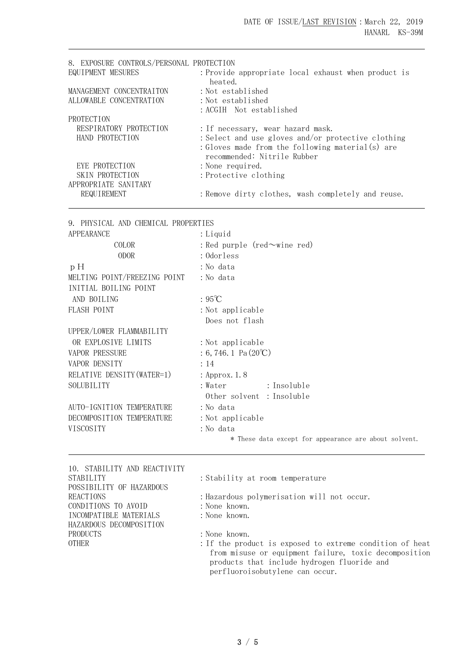| 8. EXPOSURE CONTROLS/PERSONAL PROTECTION |                                                     |
|------------------------------------------|-----------------------------------------------------|
| EQUIPMENT MESURES                        | : Provide appropriate local exhaust when product is |
|                                          | heated.                                             |
| MANAGEMENT CONCENTRAITON                 | : Not established                                   |
| ALLOWABLE CONCENTRATION                  | : Not established                                   |
|                                          | : ACGIH Not established                             |
| PROTECTION                               |                                                     |
| RESPIRATORY PROTECTION                   | : If necessary, wear hazard mask.                   |
| HAND PROTECTION                          | : Select and use gloves and/or protective clothing  |
|                                          | : Gloves made from the following material(s) are    |
|                                          | recommended: Nitrile Rubber                         |
| EYE PROTECTION                           | : None required.                                    |
| SKIN PROTECTION                          | : Protective clothing                               |
| APPROPRIATE SANITARY                     |                                                     |
| REQUIREMENT                              | : Remove dirty clothes, wash completely and reuse.  |

|  |  |  |  | 9. PHYSICAL AND CHEMICAL PROPERTIES |
|--|--|--|--|-------------------------------------|
|--|--|--|--|-------------------------------------|

| <b>APPEARANCE</b>            | : Liquid                                              |  |  |  |  |
|------------------------------|-------------------------------------------------------|--|--|--|--|
| COLOR                        | : Red purple (red $\sim$ wine red)                    |  |  |  |  |
| <b>ODOR</b>                  | : Odorless                                            |  |  |  |  |
| pH                           | : No data                                             |  |  |  |  |
| MELTING POINT/FREEZING POINT | : No data                                             |  |  |  |  |
| INITIAL BOILING POINT        |                                                       |  |  |  |  |
| AND BOILING                  | $:95^{\circ}\text{C}$                                 |  |  |  |  |
| FLASH POINT                  | : Not applicable                                      |  |  |  |  |
|                              | Does not flash                                        |  |  |  |  |
| UPPER/LOWER FLAMMABILITY     |                                                       |  |  |  |  |
| OR EXPLOSIVE LIMITS          | : Not applicable                                      |  |  |  |  |
| <b>VAPOR PRESSURE</b>        | $: 6, 746.1$ Pa $(20^{\circ}\text{C})$                |  |  |  |  |
| VAPOR DENSITY                | : 14                                                  |  |  |  |  |
| RELATIVE DENSITY (WATER=1)   | : Approx. 1.8                                         |  |  |  |  |
| SOLUBILITY                   | : Insoluble<br>:Water                                 |  |  |  |  |
|                              | Other solvent : Insoluble                             |  |  |  |  |
| AUTO-IGNITION TEMPERATURE    | : No data                                             |  |  |  |  |
| DECOMPOSITION TEMPERATURE    | : Not applicable                                      |  |  |  |  |
| VISCOSITY                    | :No data                                              |  |  |  |  |
|                              | * These data except for appearance are about solvent. |  |  |  |  |
|                              |                                                       |  |  |  |  |

| 10. STABILITY AND REACTIVITY |
|------------------------------|
| <b>STABILITY</b>             |
| POSSIBILITY OF HAZARDOUS     |
| <b>REACTIONS</b>             |
| CONDITIONS TO AVOID          |
| INCOMPATIBLE MATERIALS       |
| HAZARDOUS DECOMPOSITION      |
| PRODUCTS                     |
| <b>OTHER</b>                 |
|                              |

: Stability at room temperature

: Hazardous polymerisation will not occur.

- : None known.
- : None known.

: None known.

: If the product is exposed to extreme condition of heat from misuse or equipment failure, toxic decomposition products that include hydrogen fluoride and perfluoroisobutylene can occur.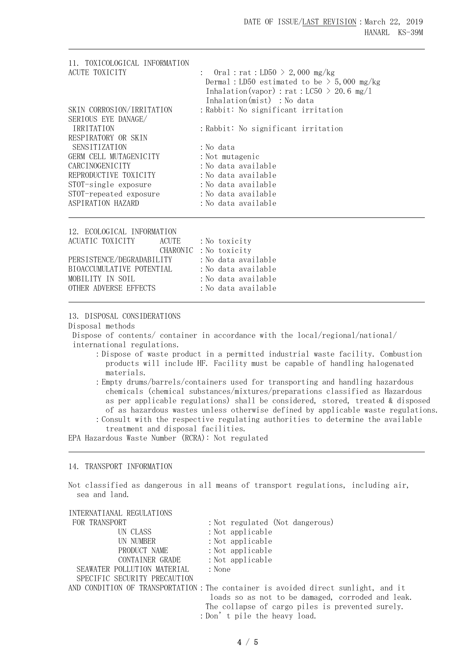| 11. TOXICOLOGICAL INFORMATION |                                                                                                                                                                |
|-------------------------------|----------------------------------------------------------------------------------------------------------------------------------------------------------------|
| ACUTE TOXICITY                | : Oral : rat : LD50 > 2,000 mg/kg<br>Dermal: LD50 estimated to be $>$ 5,000 mg/kg<br>Inhalation (vapor) : rat : LC50 > 20.6 mg/l<br>Inhalation(mist) : No data |
| SKIN CORROSION/IRRITATION     | : Rabbit: No significant irritation                                                                                                                            |
| SERIOUS EYE DANAGE/           |                                                                                                                                                                |
| IRRITATION                    | : Rabbit: No significant irritation                                                                                                                            |
| RESPIRATORY OR SKIN           |                                                                                                                                                                |
| SENSITIZATION                 | : No data                                                                                                                                                      |
| GERM CELL MUTAGENICITY        | : Not mutagenic                                                                                                                                                |
| CARCINOGENICITY               | : No data available                                                                                                                                            |
| REPRODUCTIVE TOXICITY         | : No data available                                                                                                                                            |
| STOT-single exposure          | : No data available                                                                                                                                            |
| STOT-repeated exposure        | : No data available                                                                                                                                            |
| ASPIRATION HAZARD             | :No data available                                                                                                                                             |

| 12. ECOLOGICAL INFORMATION |                        |                     |
|----------------------------|------------------------|---------------------|
| ACUATIC TOXICITY           | ACUTE                  | : No toxicity       |
|                            | CHARONIC : No toxicity |                     |
| PERSISTENCE/DEGRADABILITY  |                        | :No data available  |
| BIOACCUMULATIVE POTENTIAL  |                        | : No data available |
| MOBILITY IN SOIL           |                        | : No data available |
| OTHER ADVERSE EFFECTS      |                        | : No data available |
|                            |                        |                     |

13. DISPOSAL CONSIDERATIONS

Disposal methods

Dispose of contents/ container in accordance with the local/regional/national/ international regulations.

- :Dispose of waste product in a permitted industrial waste facility. Combustion products will include HF. Facility must be capable of handling halogenated materials.
- :Empty drums/barrels/containers used for transporting and handling hazardous chemicals (chemical substances/mixtures/preparations classified as Hazardous as per applicable regulations) shall be considered, stored, treated & disposed of as hazardous wastes unless otherwise defined by applicable waste regulations. :Consult with the respective regulating authorities to determine the available
- treatment and disposal facilities.

EPA Hazardous Waste Number (RCRA): Not regulated

## 14. TRANSPORT INFORMATION

Not classified as dangerous in all means of transport regulations, including air, sea and land.

| INTERNATIANAL REGULATIONS    |                                                                                   |
|------------------------------|-----------------------------------------------------------------------------------|
| FOR TRANSPORT                | : Not regulated (Not dangerous)                                                   |
| UN CLASS                     | : Not applicable                                                                  |
| UN NUMBER                    | $:$ Not applicable                                                                |
| PRODUCT NAME                 | $:$ Not applicable                                                                |
| CONTAINER GRADE              | $:$ Not applicable                                                                |
| SEAWATER POLLUTION MATERIAL  | : None                                                                            |
| SPECIFIC SECURITY PRECAUTION |                                                                                   |
|                              | AND CONDITION OF TRANSPORTATION: The container is avoided direct sunlight, and it |
|                              | loads so as not to be damaged, corroded and leak.                                 |
|                              | The collapse of cargo piles is prevented surely.                                  |
|                              | : Don't pile the heavy load.                                                      |